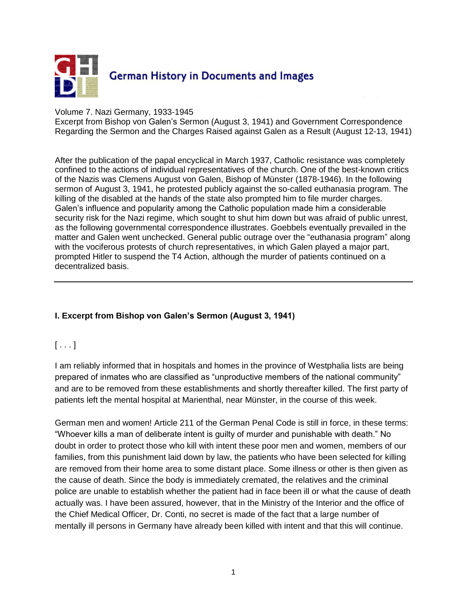

## Volume 7. Nazi Germany, 1933-1945

Excerpt from Bishop von Galen's Sermon (August 3, 1941) and Government Correspondence Regarding the Sermon and the Charges Raised against Galen as a Result (August 12-13, 1941)

After the publication of the papal encyclical in March 1937, Catholic resistance was completely confined to the actions of individual representatives of the church. One of the best-known critics of the Nazis was Clemens August von Galen, Bishop of Münster (1878-1946). In the following sermon of August 3, 1941, he protested publicly against the so-called euthanasia program. The killing of the disabled at the hands of the state also prompted him to file murder charges. Galen's influence and popularity among the Catholic population made him a considerable security risk for the Nazi regime, which sought to shut him down but was afraid of public unrest, as the following governmental correspondence illustrates. Goebbels eventually prevailed in the matter and Galen went unchecked. General public outrage over the "euthanasia program" along with the vociferous protests of church representatives, in which Galen played a major part, prompted Hitler to suspend the T4 Action, although the murder of patients continued on a decentralized basis.

## **I. Excerpt from Bishop von Galen's Sermon (August 3, 1941)**

## $[ \ldots ]$

I am reliably informed that in hospitals and homes in the province of Westphalia lists are being prepared of inmates who are classified as "unproductive members of the national community" and are to be removed from these establishments and shortly thereafter killed. The first party of patients left the mental hospital at Marienthal, near Münster, in the course of this week.

German men and women! Article 211 of the German Penal Code is still in force, in these terms: "Whoever kills a man of deliberate intent is guilty of murder and punishable with death." No doubt in order to protect those who kill with intent these poor men and women, members of our families, from this punishment laid down by law, the patients who have been selected for killing are removed from their home area to some distant place. Some illness or other is then given as the cause of death. Since the body is immediately cremated, the relatives and the criminal police are unable to establish whether the patient had in face been ill or what the cause of death actually was. I have been assured, however, that in the Ministry of the Interior and the office of the Chief Medical Officer, Dr. Conti, no secret is made of the fact that a large number of mentally ill persons in Germany have already been killed with intent and that this will continue.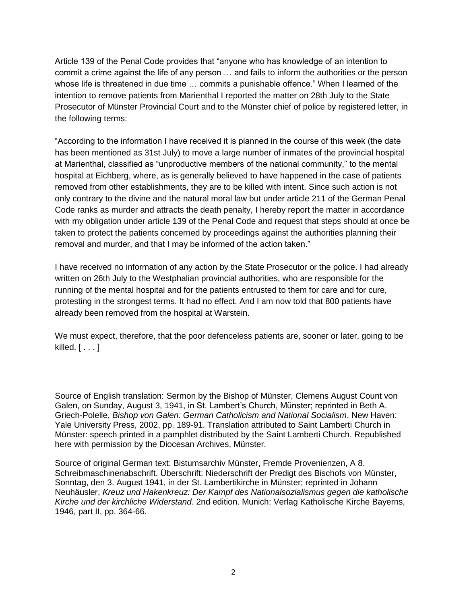Article 139 of the Penal Code provides that "anyone who has knowledge of an intention to commit a crime against the life of any person … and fails to inform the authorities or the person whose life is threatened in due time … commits a punishable offence." When I learned of the intention to remove patients from Marienthal I reported the matter on 28th July to the State Prosecutor of Münster Provincial Court and to the Münster chief of police by registered letter, in the following terms:

"According to the information I have received it is planned in the course of this week (the date has been mentioned as 31st July) to move a large number of inmates of the provincial hospital at Marienthal, classified as "unproductive members of the national community," to the mental hospital at Eichberg, where, as is generally believed to have happened in the case of patients removed from other establishments, they are to be killed with intent. Since such action is not only contrary to the divine and the natural moral law but under article 211 of the German Penal Code ranks as murder and attracts the death penalty, I hereby report the matter in accordance with my obligation under article 139 of the Penal Code and request that steps should at once be taken to protect the patients concerned by proceedings against the authorities planning their removal and murder, and that I may be informed of the action taken."

I have received no information of any action by the State Prosecutor or the police. I had already written on 26th July to the Westphalian provincial authorities, who are responsible for the running of the mental hospital and for the patients entrusted to them for care and for cure, protesting in the strongest terms. It had no effect. And I am now told that 800 patients have already been removed from the hospital at Warstein.

We must expect, therefore, that the poor defenceless patients are, sooner or later, going to be killed.  $[ \ldots ]$ 

Source of English translation: Sermon by the Bishop of Münster, Clemens August Count von Galen, on Sunday, August 3, 1941, in St. Lambert's Church, Münster; reprinted in Beth A. Griech-Polelle, *Bishop von Galen: German Catholicism and National Socialism*. New Haven: Yale University Press, 2002, pp. 189-91. Translation attributed to Saint Lamberti Church in Münster: speech printed in a pamphlet distributed by the Saint Lamberti Church. Republished here with permission by the Diocesan Archives, Münster.

Source of original German text: Bistumsarchiv Münster, Fremde Provenienzen, A 8. Schreibmaschinenabschrift. Überschrift: Niederschrift der Predigt des Bischofs von Münster, Sonntag, den 3. August 1941, in der St. Lambertikirche in Münster; reprinted in Johann Neuhäusler, *Kreuz und Hakenkreuz: Der Kampf des Nationalsozialismus gegen die katholische Kirche und der kirchliche Widerstand*. 2nd edition. Munich: Verlag Katholische Kirche Bayerns, 1946, part II, pp. 364-66.